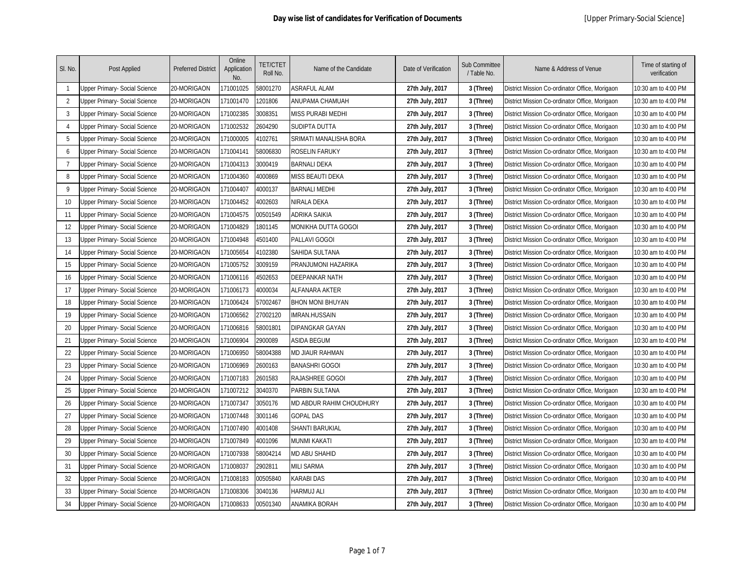| SI. No.        | Post Applied                         | <b>Preferred District</b> | Online<br>Application<br>No. | <b>TET/CTET</b><br>Roll No. | Name of the Candidate    | Date of Verification | <b>Sub Committee</b><br>/ Table No. | Name & Address of Venue                        | Time of starting of<br>verification |
|----------------|--------------------------------------|---------------------------|------------------------------|-----------------------------|--------------------------|----------------------|-------------------------------------|------------------------------------------------|-------------------------------------|
| $\mathbf{1}$   | Upper Primary- Social Science        | 20-MORIGAON               | 171001025                    | 58001270                    | <b>ASRAFUL ALAM</b>      | 27th July, 2017      | 3 (Three)                           | District Mission Co-ordinator Office, Morigaon | 10:30 am to 4:00 PM                 |
| 2              | <b>Jpper Primary- Social Science</b> | 20-MORIGAON               | 171001470                    | 1201806                     | <b>ANUPAMA CHAMUAH</b>   | 27th July, 2017      | 3 (Three)                           | District Mission Co-ordinator Office, Morigaon | 10:30 am to 4:00 PM                 |
| 3              | <b>Jpper Primary- Social Science</b> | 20-MORIGAON               | 171002385                    | 3008351                     | <b>MISS PURABI MEDHI</b> | 27th July, 2017      | 3 (Three)                           | District Mission Co-ordinator Office, Morigaon | 10:30 am to 4:00 PM                 |
| $\overline{4}$ | Jpper Primary- Social Science        | 20-MORIGAON               | 171002532                    | 2604290                     | SUDIPTA DUTTA            | 27th July, 2017      | 3 (Three)                           | District Mission Co-ordinator Office, Morigaon | 10:30 am to 4:00 PM                 |
| 5              | Jpper Primary- Social Science        | 20-MORIGAON               | 171000005                    | 4102761                     | SRIMATI MANALISHA BORA   | 27th July, 2017      | 3 (Three)                           | District Mission Co-ordinator Office, Morigaon | 10:30 am to 4:00 PM                 |
| 6              | Jpper Primary- Social Science        | 20-MORIGAON               | 171004141                    | 58006830                    | ROSELIN FARUKY           | 27th July, 2017      | 3 (Three)                           | District Mission Co-ordinator Office, Morigaon | 10:30 am to 4:00 PM                 |
| $\overline{7}$ | Jpper Primary- Social Science        | 20-MORIGAON               | 171004313                    | 3000419                     | <b>BARNALI DEKA</b>      | 27th July, 2017      | 3 (Three)                           | District Mission Co-ordinator Office, Morigaon | 10:30 am to 4:00 PM                 |
| 8              | Jpper Primary- Social Science        | 20-MORIGAON               | 171004360                    | 1000869                     | MISS BEAUTI DEKA         | 27th July, 2017      | 3 (Three)                           | District Mission Co-ordinator Office, Morigaon | 10:30 am to 4:00 PM                 |
| 9              | Jpper Primary- Social Science        | 20-MORIGAON               | 171004407                    | 1000137                     | <b>BARNALI MEDHI</b>     | 27th July, 2017      | 3 (Three)                           | District Mission Co-ordinator Office, Morigaon | 10:30 am to 4:00 PM                 |
| 10             | Jpper Primary- Social Science        | 20-MORIGAON               | 171004452                    | 1002603                     | NIRALA DEKA              | 27th July, 2017      | 3 (Three)                           | District Mission Co-ordinator Office, Morigaon | 10:30 am to 4:00 PM                 |
| 11             | Jpper Primary- Social Science        | 20-MORIGAON               | 171004575                    | 00501549                    | ADRIKA SAIKIA            | 27th July, 2017      | 3 (Three)                           | District Mission Co-ordinator Office, Morigaon | 10:30 am to 4:00 PM                 |
| 12             | Jpper Primary- Social Science        | 20-MORIGAON               | 171004829                    | 1801145                     | MONIKHA DUTTA GOGOI      | 27th July, 2017      | 3 (Three)                           | District Mission Co-ordinator Office, Morigaon | 10:30 am to 4:00 PM                 |
| 13             | Jpper Primary- Social Science        | 20-MORIGAON               | 171004948                    | 1501400                     | PALLAVI GOGOI            | 27th July, 2017      | 3 (Three)                           | District Mission Co-ordinator Office, Morigaon | 10:30 am to 4:00 PM                 |
| 14             | Jpper Primary- Social Science        | 20-MORIGAON               | 171005654                    | 1102380                     | SAHIDA SULTANA           | 27th July, 2017      | 3 (Three)                           | District Mission Co-ordinator Office, Morigaon | 10:30 am to 4:00 PM                 |
| 15             | Jpper Primary- Social Science        | 20-MORIGAON               | 171005752                    | 3009159                     | PRANJUMONI HAZARIKA      | 27th July, 2017      | 3 (Three)                           | District Mission Co-ordinator Office, Morigaon | 10:30 am to 4:00 PM                 |
| 16             | Jpper Primary- Social Science        | 20-MORIGAON               | 171006116                    | 4502653                     | <b>DEEPANKAR NATH</b>    | 27th July, 2017      | 3 (Three)                           | District Mission Co-ordinator Office, Morigaon | 10:30 am to 4:00 PM                 |
| 17             | Jpper Primary- Social Science        | 20-MORIGAON               | 171006173                    | 1000034                     | <b>ALFANARA AKTER</b>    | 27th July, 2017      | 3 (Three)                           | District Mission Co-ordinator Office, Morigaon | 10:30 am to 4:00 PM                 |
| 18             | Jpper Primary- Social Science        | 20-MORIGAON               | 171006424                    | 57002467                    | <b>BHON MONI BHUYAN</b>  | 27th July, 2017      | 3 (Three)                           | District Mission Co-ordinator Office, Morigaon | 10:30 am to 4:00 PM                 |
| 19             | Jpper Primary- Social Science        | 20-MORIGAON               | 171006562                    | 27002120                    | <b>IMRAN.HUSSAIN</b>     | 27th July, 2017      | 3 (Three)                           | District Mission Co-ordinator Office, Morigaon | 10:30 am to 4:00 PM                 |
| 20             | <b>Jpper Primary- Social Science</b> | 20-MORIGAON               | 171006816                    | 58001801                    | <b>DIPANGKAR GAYAN</b>   | 27th July, 2017      | 3 (Three)                           | District Mission Co-ordinator Office, Morigaon | 10:30 am to 4:00 PM                 |
| 21             | <b>Jpper Primary- Social Science</b> | 20-MORIGAON               | 171006904                    | 2900089                     | <b>ASIDA BEGUM</b>       | 27th July, 2017      | 3 (Three)                           | District Mission Co-ordinator Office, Morigaon | 10:30 am to 4:00 PM                 |
| 22             | Jpper Primary- Social Science        | 20-MORIGAON               | 171006950                    | 58004388                    | <b>MD JIAUR RAHMAN</b>   | 27th July, 2017      | 3 (Three)                           | District Mission Co-ordinator Office, Morigaon | 10:30 am to 4:00 PM                 |
| 23             | Jpper Primary- Social Science        | 20-MORIGAON               | 171006969                    | 2600163                     | <b>BANASHRI GOGOI</b>    | 27th July, 2017      | 3 (Three)                           | District Mission Co-ordinator Office, Morigaon | 10:30 am to 4:00 PM                 |
| 24             | <b>Jpper Primary- Social Science</b> | 20-MORIGAON               | 171007183                    | 2601583                     | RAJASHREE GOGOI          | 27th July, 2017      | 3 (Three)                           | District Mission Co-ordinator Office, Morigaon | 10:30 am to 4:00 PM                 |
| 25             | Jpper Primary- Social Science        | 20-MORIGAON               | 171007212                    | 3040370                     | PARBIN SULTANA           | 27th July, 2017      | 3 (Three)                           | District Mission Co-ordinator Office, Morigaon | 10:30 am to 4:00 PM                 |
| 26             | Jpper Primary- Social Science        | 20-MORIGAON               | 171007347                    | 3050176                     | MD ABDUR RAHIM CHOUDHURY | 27th July, 2017      | 3 (Three)                           | District Mission Co-ordinator Office, Morigaon | 10:30 am to 4:00 PM                 |
| 27             | Jpper Primary- Social Science        | 20-MORIGAON               | 171007448                    | 3001146                     | GOPAL DAS                | 27th July, 2017      | 3 (Three)                           | District Mission Co-ordinator Office, Morigaon | 10:30 am to 4:00 PM                 |
| 28             | Jpper Primary- Social Science        | 20-MORIGAON               | 171007490                    | 1001408                     | SHANTI BARUKIAL          | 27th July, 2017      | 3 (Three)                           | District Mission Co-ordinator Office, Morigaon | 10:30 am to 4:00 PM                 |
| 29             | Jpper Primary- Social Science        | 20-MORIGAON               | 171007849                    | 1001096                     | <b>MUNMI KAKATI</b>      | 27th July, 2017      | 3 (Three)                           | District Mission Co-ordinator Office, Morigaon | 10:30 am to 4:00 PM                 |
| 30             | Jpper Primary- Social Science        | 20-MORIGAON               | 171007938                    | 58004214                    | MD ABU SHAHID            | 27th July, 2017      | 3 (Three)                           | District Mission Co-ordinator Office, Morigaon | 10:30 am to 4:00 PM                 |
| 31             | Jpper Primary- Social Science        | 20-MORIGAON               | 171008037                    | 2902811                     | <b>MILI SARMA</b>        | 27th July, 2017      | 3 (Three)                           | District Mission Co-ordinator Office, Morigaon | 10:30 am to 4:00 PM                 |
| 32             | Jpper Primary- Social Science        | 20-MORIGAON               | 171008183                    | 00505840                    | KARABI DAS               | 27th July, 2017      | 3 (Three)                           | District Mission Co-ordinator Office, Morigaon | 10:30 am to 4:00 PM                 |
| 33             | <b>Jpper Primary- Social Science</b> | 20-MORIGAON               | 171008306                    | 3040136                     | HARMUJ ALI               | 27th July, 2017      | 3 (Three)                           | District Mission Co-ordinator Office, Morigaon | 10:30 am to 4:00 PM                 |
| 34             | Upper Primary- Social Science        | 20-MORIGAON               | 171008633                    | 00501340                    | <b>ANAMIKA BORAH</b>     | 27th July, 2017      | 3 (Three)                           | District Mission Co-ordinator Office, Morigaon | 10:30 am to 4:00 PM                 |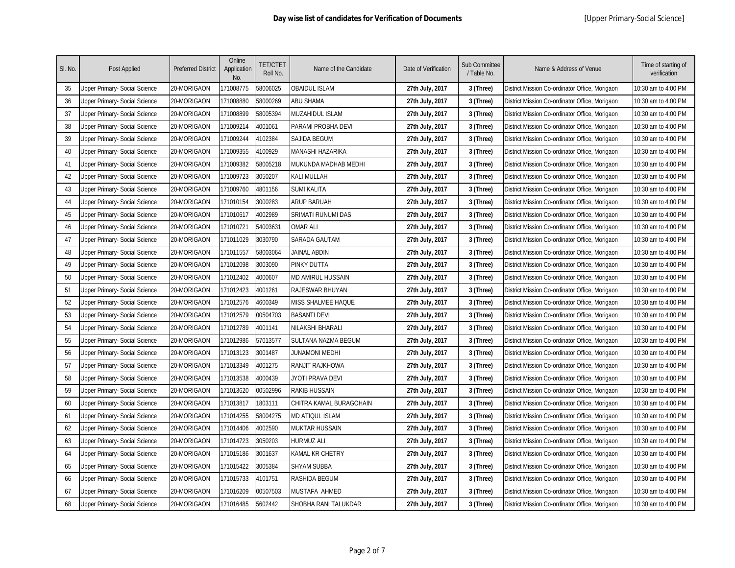| SI. No. | Post Applied                         | <b>Preferred District</b> | Online<br>Application<br>No. | <b>TET/CTET</b><br>Roll No. | Name of the Candidate   | Date of Verification | <b>Sub Committee</b><br>/ Table No. | Name & Address of Venue                        | Time of starting of<br>verification |
|---------|--------------------------------------|---------------------------|------------------------------|-----------------------------|-------------------------|----------------------|-------------------------------------|------------------------------------------------|-------------------------------------|
| 35      | <b>Jpper Primary- Social Science</b> | 20-MORIGAON               | 171008775                    | 58006025                    | <b>OBAIDUL ISLAM</b>    | 27th July, 2017      | 3 (Three)                           | District Mission Co-ordinator Office, Morigaon | 10:30 am to 4:00 PM                 |
| 36      | Jpper Primary- Social Science        | 20-MORIGAON               | 171008880                    | 58000269                    | <b>ABU SHAMA</b>        | 27th July, 2017      | 3 (Three)                           | District Mission Co-ordinator Office, Morigaon | 10:30 am to 4:00 PM                 |
| 37      | <b>Jpper Primary- Social Science</b> | 20-MORIGAON               | 171008899                    | 58005394                    | <b>MUZAHIDUL ISLAM</b>  | 27th July, 2017      | 3 (Three)                           | District Mission Co-ordinator Office, Morigaon | 10:30 am to 4:00 PM                 |
| 38      | Jpper Primary- Social Science        | 20-MORIGAON               | 171009214                    | 1001061                     | PARAMI PROBHA DEVI      | 27th July, 2017      | 3 (Three)                           | District Mission Co-ordinator Office, Morigaon | 10:30 am to 4:00 PM                 |
| 39      | Jpper Primary- Social Science        | 20-MORIGAON               | 171009244                    | 1102384                     | SAJIDA BEGUM            | 27th July, 2017      | 3 (Three)                           | District Mission Co-ordinator Office, Morigaon | 10:30 am to 4:00 PM                 |
| 40      | Jpper Primary- Social Science        | 20-MORIGAON               | 171009355                    | 1100929                     | <b>MANASHI HAZARIKA</b> | 27th July, 2017      | 3 (Three)                           | District Mission Co-ordinator Office, Morigaon | 10:30 am to 4:00 PM                 |
| 41      | Jpper Primary- Social Science        | 20-MORIGAON               | 171009382                    | 58005218                    | MUKUNDA MADHAB MEDHI    | 27th July, 2017      | 3 (Three)                           | District Mission Co-ordinator Office, Morigaon | 10:30 am to 4:00 PM                 |
| 42      | Jpper Primary- Social Science        | 20-MORIGAON               | 171009723                    | 3050207                     | KALI MULLAH             | 27th July, 2017      | 3 (Three)                           | District Mission Co-ordinator Office, Morigaon | 10:30 am to 4:00 PM                 |
| 43      | Jpper Primary- Social Science        | 20-MORIGAON               | 171009760                    | 1801156                     | SUMI KALITA             | 27th July, 2017      | 3 (Three)                           | District Mission Co-ordinator Office, Morigaon | 10:30 am to 4:00 PM                 |
| 44      | Jpper Primary- Social Science        | 20-MORIGAON               | 171010154                    | 3000283                     | <b>ARUP BARUAH</b>      | 27th July, 2017      | 3 (Three)                           | District Mission Co-ordinator Office, Morigaon | 10:30 am to 4:00 PM                 |
| 45      | Jpper Primary- Social Science        | 20-MORIGAON               | 171010617                    | 1002989                     | SRIMATI RUNUMI DAS      | 27th July, 2017      | 3 (Three)                           | District Mission Co-ordinator Office, Morigaon | 10:30 am to 4:00 PM                 |
| 46      | Jpper Primary- Social Science        | 20-MORIGAON               | 171010721                    | 54003631                    | <b>OMAR ALI</b>         | 27th July, 2017      | 3 (Three)                           | District Mission Co-ordinator Office, Morigaon | 10:30 am to 4:00 PM                 |
| 47      | Jpper Primary- Social Science        | 20-MORIGAON               | 171011029                    | 3030790                     | SARADA GAUTAM           | 27th July, 2017      | 3 (Three)                           | District Mission Co-ordinator Office, Morigaon | 10:30 am to 4:00 PM                 |
| 48      | Jpper Primary- Social Science        | 20-MORIGAON               | 171011557                    | 58003064                    | JAINAL ABDIN            | 27th July, 2017      | 3 (Three)                           | District Mission Co-ordinator Office, Morigaon | 10:30 am to 4:00 PM                 |
| 49      | Jpper Primary- Social Science        | 20-MORIGAON               | 171012098                    | 3003090                     | PINKY DUTTA             | 27th July, 2017      | 3 (Three)                           | District Mission Co-ordinator Office, Morigaon | 10:30 am to 4:00 PM                 |
| 50      | Jpper Primary- Social Science        | 20-MORIGAON               | 171012402                    | 1000607                     | MD AMIRUL HUSSAIN       | 27th July, 2017      | 3 (Three)                           | District Mission Co-ordinator Office, Morigaon | 10:30 am to 4:00 PM                 |
| 51      | Jpper Primary- Social Science        | 20-MORIGAON               | 171012423                    | 1001261                     | RAJESWAR BHUYAN         | 27th July, 2017      | 3 (Three)                           | District Mission Co-ordinator Office, Morigaon | 10:30 am to 4:00 PM                 |
| 52      | Jpper Primary- Social Science        | 20-MORIGAON               | 171012576                    | 1600349                     | MISS SHALMEE HAQUE      | 27th July, 2017      | 3 (Three)                           | District Mission Co-ordinator Office, Morigaon | 10:30 am to 4:00 PM                 |
| 53      | Jpper Primary- Social Science        | 20-MORIGAON               | 171012579                    | 00504703                    | <b>BASANTI DEVI</b>     | 27th July, 2017      | 3 (Three)                           | District Mission Co-ordinator Office, Morigaon | 10:30 am to 4:00 PM                 |
| 54      | <b>Jpper Primary- Social Science</b> | 20-MORIGAON               | 171012789                    | 4001141                     | NILAKSHI BHARALI        | 27th July, 2017      | 3 (Three)                           | District Mission Co-ordinator Office, Morigaon | 10:30 am to 4:00 PM                 |
| 55      | Jpper Primary- Social Science        | 20-MORIGAON               | 171012986                    | 57013577                    | SULTANA NAZMA BEGUM     | 27th July, 2017      | 3 (Three)                           | District Mission Co-ordinator Office, Morigaon | 10:30 am to 4:00 PM                 |
| 56      | Jpper Primary- Social Science        | 20-MORIGAON               | 171013123                    | 3001487                     | JUNAMONI MEDHI          | 27th July, 2017      | 3 (Three)                           | District Mission Co-ordinator Office, Morigaon | 10:30 am to 4:00 PM                 |
| 57      | Jpper Primary- Social Science        | 20-MORIGAON               | 171013349                    | 1001275                     | RANJIT RAJKHOWA         | 27th July, 2017      | 3 (Three)                           | District Mission Co-ordinator Office, Morigaon | 10:30 am to 4:00 PM                 |
| 58      | <b>Jpper Primary- Social Science</b> | 20-MORIGAON               | 171013538                    | 1000439                     | JYOTI PRAVA DEVI        | 27th July, 2017      | 3 (Three)                           | District Mission Co-ordinator Office, Morigaon | 10:30 am to 4:00 PM                 |
| 59      | Jpper Primary- Social Science        | 20-MORIGAON               | 171013620                    | 00502996                    | <b>RAKIB HUSSAIN</b>    | 27th July, 2017      | 3 (Three)                           | District Mission Co-ordinator Office, Morigaon | 10:30 am to 4:00 PM                 |
| 60      | Jpper Primary- Social Science        | 20-MORIGAON               | 171013817                    | 1803111                     | CHITRA KAMAL BURAGOHAIN | 27th July, 2017      | 3 (Three)                           | District Mission Co-ordinator Office, Morigaon | 10:30 am to 4:00 PM                 |
| 61      | Jpper Primary- Social Science        | 20-MORIGAON               | 171014255                    | 58004275                    | MD ATIQUL ISLAM         | 27th July, 2017      | 3 (Three)                           | District Mission Co-ordinator Office, Morigaon | 10:30 am to 4:00 PM                 |
| 62      | Jpper Primary- Social Science        | 20-MORIGAON               | 171014406                    | 1002590                     | <b>MUKTAR HUSSAIN</b>   | 27th July, 2017      | 3 (Three)                           | District Mission Co-ordinator Office, Morigaon | 10:30 am to 4:00 PM                 |
| 63      | Jpper Primary- Social Science        | 20-MORIGAON               | 171014723                    | 3050203                     | HURMUZ ALI              | 27th July, 2017      | 3 (Three)                           | District Mission Co-ordinator Office, Morigaon | 10:30 am to 4:00 PM                 |
| 64      | Jpper Primary- Social Science        | 20-MORIGAON               | 171015186                    | 3001637                     | KAMAL KR CHETRY         | 27th July, 2017      | 3 (Three)                           | District Mission Co-ordinator Office, Morigaon | 10:30 am to 4:00 PM                 |
| 65      | Jpper Primary- Social Science        | 20-MORIGAON               | 171015422                    | 3005384                     | SHYAM SUBBA             | 27th July, 2017      | 3 (Three)                           | District Mission Co-ordinator Office, Morigaon | 10:30 am to 4:00 PM                 |
| 66      | Jpper Primary- Social Science        | 20-MORIGAON               | 171015733                    | 4101751                     | RASHIDA BEGUM           | 27th July, 2017      | 3 (Three)                           | District Mission Co-ordinator Office, Morigaon | 10:30 am to 4:00 PM                 |
| 67      | <b>Jpper Primary- Social Science</b> | 20-MORIGAON               | 171016209                    | 00507503                    | MUSTAFA AHMED           | 27th July, 2017      | 3 (Three)                           | District Mission Co-ordinator Office, Morigaon | 10:30 am to 4:00 PM                 |
| 68      | Upper Primary- Social Science        | 20-MORIGAON               | 171016485                    | 5602442                     | SHOBHA RANI TALUKDAR    | 27th July, 2017      | 3 (Three)                           | District Mission Co-ordinator Office, Morigaon | 10:30 am to 4:00 PM                 |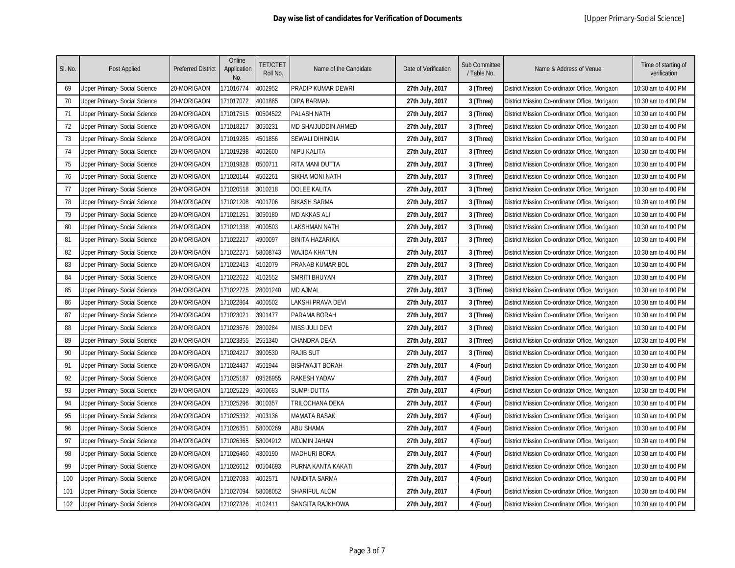| SI. No. | Post Applied                         | <b>Preferred District</b> | Online<br>Application<br>No. | <b>TET/CTET</b><br>Roll No. | Name of the Candidate  | Date of Verification | <b>Sub Committee</b><br>/ Table No. | Name & Address of Venue                        | Time of starting of<br>verification |
|---------|--------------------------------------|---------------------------|------------------------------|-----------------------------|------------------------|----------------------|-------------------------------------|------------------------------------------------|-------------------------------------|
| 69      | <b>Jpper Primary- Social Science</b> | 20-MORIGAON               | 171016774                    | 1002952                     | PRADIP KUMAR DEWRI     | 27th July, 2017      | 3 (Three)                           | District Mission Co-ordinator Office, Morigaon | 10:30 am to 4:00 PM                 |
| 70      | Upper Primary- Social Science        | 20-MORIGAON               | 171017072                    | 4001885                     | <b>DIPA BARMAN</b>     | 27th July, 2017      | 3 (Three)                           | District Mission Co-ordinator Office, Morigaon | 10:30 am to 4:00 PM                 |
| 71      | <b>Jpper Primary- Social Science</b> | 20-MORIGAON               | 171017515                    | 00504522                    | PALASH NATH            | 27th July, 2017      | 3 (Three)                           | District Mission Co-ordinator Office, Morigaon | 10:30 am to 4:00 PM                 |
| 72      | Jpper Primary- Social Science        | 20-MORIGAON               | 171018217                    | 3050231                     | MD SHAIJUDDIN AHMED    | 27th July, 2017      | 3 (Three)                           | District Mission Co-ordinator Office, Morigaon | 10:30 am to 4:00 PM                 |
| 73      | Jpper Primary- Social Science        | 20-MORIGAON               | 171019285                    | 4501856                     | <b>SEWALI DIHINGIA</b> | 27th July, 2017      | 3 (Three)                           | District Mission Co-ordinator Office, Morigaon | 10:30 am to 4:00 PM                 |
| 74      | Jpper Primary- Social Science        | 20-MORIGAON               | 171019298                    | 1002600                     | NIPU KALITA            | 27th July, 2017      | 3 (Three)                           | District Mission Co-ordinator Office, Morigaon | 10:30 am to 4:00 PM                 |
| 75      | Jpper Primary- Social Science        | 20-MORIGAON               | 171019828                    | )500711                     | RITA MANI DUTTA        | 27th July, 2017      | 3 (Three)                           | District Mission Co-ordinator Office, Morigaon | 10:30 am to 4:00 PM                 |
| 76      | Jpper Primary- Social Science        | 20-MORIGAON               | 171020144                    | 1502261                     | SIKHA MONI NATH        | 27th July, 2017      | 3 (Three)                           | District Mission Co-ordinator Office, Morigaon | 10:30 am to 4:00 PM                 |
| 77      | Jpper Primary- Social Science        | 20-MORIGAON               | 171020518                    | 3010218                     | DOLEE KALITA           | 27th July, 2017      | 3 (Three)                           | District Mission Co-ordinator Office, Morigaon | 10:30 am to 4:00 PM                 |
| 78      | Jpper Primary- Social Science        | 20-MORIGAON               | 171021208                    | 1001706                     | <b>BIKASH SARMA</b>    | 27th July, 2017      | 3 (Three)                           | District Mission Co-ordinator Office, Morigaon | 10:30 am to 4:00 PM                 |
| 79      | Jpper Primary- Social Science        | 20-MORIGAON               | 171021251                    | 3050180                     | <b>MD AKKAS ALI</b>    | 27th July, 2017      | 3 (Three)                           | District Mission Co-ordinator Office, Morigaon | 10:30 am to 4:00 PM                 |
| 80      | Jpper Primary- Social Science        | 20-MORIGAON               | 171021338                    | 4000503                     | LAKSHMAN NATH          | 27th July, 2017      | 3 (Three)                           | District Mission Co-ordinator Office, Morigaon | 10:30 am to 4:00 PM                 |
| 81      | Jpper Primary- Social Science        | 20-MORIGAON               | 171022217                    | 1900097                     | <b>BINITA HAZARIKA</b> | 27th July, 2017      | 3 (Three)                           | District Mission Co-ordinator Office, Morigaon | 10:30 am to 4:00 PM                 |
| 82      | Jpper Primary- Social Science        | 20-MORIGAON               | 171022271                    | 58008743                    | WAJIDA KHATUN          | 27th July, 2017      | 3 (Three)                           | District Mission Co-ordinator Office, Morigaon | 10:30 am to 4:00 PM                 |
| 83      | Jpper Primary- Social Science        | 20-MORIGAON               | 171022413                    | 4102079                     | PRANAB KUMAR BOL       | 27th July, 2017      | 3 (Three)                           | District Mission Co-ordinator Office, Morigaon | 10:30 am to 4:00 PM                 |
| 84      | Jpper Primary- Social Science        | 20-MORIGAON               | 171022622                    | 1102552                     | <b>SMRITI BHUYAN</b>   | 27th July, 2017      | 3 (Three)                           | District Mission Co-ordinator Office, Morigaon | 10:30 am to 4:00 PM                 |
| 85      | Jpper Primary- Social Science        | 20-MORIGAON               | 171022725                    | 28001240                    | <b>MD AJMAL</b>        | 27th July, 2017      | 3 (Three)                           | District Mission Co-ordinator Office, Morigaon | 10:30 am to 4:00 PM                 |
| 86      | Jpper Primary- Social Science        | 20-MORIGAON               | 171022864                    | 4000502                     | LAKSHI PRAVA DEVI      | 27th July, 2017      | 3 (Three)                           | District Mission Co-ordinator Office, Morigaon | 10:30 am to 4:00 PM                 |
| 87      | Jpper Primary- Social Science        | 20-MORIGAON               | 171023021                    | 3901477                     | PARAMA BORAH           | 27th July, 2017      | 3 (Three)                           | District Mission Co-ordinator Office, Morigaon | 10:30 am to 4:00 PM                 |
| 88      | Jpper Primary- Social Science        | 20-MORIGAON               | 171023676                    | 2800284                     | <b>MISS JULI DEVI</b>  | 27th July, 2017      | 3 (Three)                           | District Mission Co-ordinator Office, Morigaon | 10:30 am to 4:00 PM                 |
| 89      | <b>Jpper Primary- Social Science</b> | 20-MORIGAON               | 171023855                    | 2551340                     | CHANDRA DEKA           | 27th July, 2017      | 3 (Three)                           | District Mission Co-ordinator Office, Morigaon | 10:30 am to 4:00 PM                 |
| 90      | Jpper Primary- Social Science        | 20-MORIGAON               | 171024217                    | 3900530                     | <b>RAJIB SUT</b>       | 27th July, 2017      | 3 (Three)                           | District Mission Co-ordinator Office, Morigaon | 10:30 am to 4:00 PM                 |
| 91      | <b>Jpper Primary- Social Science</b> | 20-MORIGAON               | 171024437                    | 4501944                     | <b>BISHWAJIT BORAH</b> | 27th July, 2017      | 4 (Four)                            | District Mission Co-ordinator Office, Morigaon | 10:30 am to 4:00 PM                 |
| 92      | <b>Jpper Primary- Social Science</b> | 20-MORIGAON               | 171025187                    | 09526955                    | RAKESH YADAV           | 27th July, 2017      | 4 (Four)                            | District Mission Co-ordinator Office, Morigaon | 10:30 am to 4:00 PM                 |
| 93      | <b>Jpper Primary- Social Science</b> | 20-MORIGAON               | 171025229                    | 4600683                     | SUMPI DUTTA            | 27th July, 2017      | 4 (Four)                            | District Mission Co-ordinator Office, Morigaon | 10:30 am to 4:00 PM                 |
| 94      | Jpper Primary- Social Science        | 20-MORIGAON               | 171025296                    | 3010357                     | TRILOCHANA DEKA        | 27th July, 2017      | 4 (Four)                            | District Mission Co-ordinator Office, Morigaon | 10:30 am to 4:00 PM                 |
| 95      | Jpper Primary- Social Science        | 20-MORIGAON               | 171025332                    | 1003136                     | MAMATA BASAK           | 27th July, 2017      | 4 (Four)                            | District Mission Co-ordinator Office, Morigaon | 10:30 am to 4:00 PM                 |
| 96      | Jpper Primary- Social Science        | 20-MORIGAON               | 171026351                    | 58000269                    | <b>ABU SHAMA</b>       | 27th July, 2017      | 4 (Four)                            | District Mission Co-ordinator Office, Morigaon | 10:30 am to 4:00 PM                 |
| 97      | Jpper Primary- Social Science        | 20-MORIGAON               | 171026365                    | 58004912                    | MOJMIN JAHAN           | 27th July, 2017      | 4 (Four)                            | District Mission Co-ordinator Office, Morigaon | 10:30 am to 4:00 PM                 |
| 98      | Jpper Primary- Social Science        | 20-MORIGAON               | 171026460                    | 4300190                     | <b>MADHURI BORA</b>    | 27th July, 2017      | 4 (Four)                            | District Mission Co-ordinator Office, Morigaon | 10:30 am to 4:00 PM                 |
| 99      | Jpper Primary- Social Science        | 20-MORIGAON               | 171026612                    | 00504693                    | PURNA KANTA KAKATI     | 27th July, 2017      | 4 (Four)                            | District Mission Co-ordinator Office, Morigaon | 10:30 am to 4:00 PM                 |
| 100     | Jpper Primary- Social Science        | 20-MORIGAON               | 171027083                    | 1002571                     | NANDITA SARMA          | 27th July, 2017      | 4 (Four)                            | District Mission Co-ordinator Office, Morigaon | 10:30 am to 4:00 PM                 |
| 101     | Jpper Primary- Social Science        | 20-MORIGAON               | 171027094                    | 8008052                     | SHARIFUL ALOM          | 27th July, 2017      | 4 (Four)                            | District Mission Co-ordinator Office, Morigaon | 10:30 am to 4:00 PM                 |
| 102     | <b>Jpper Primary- Social Science</b> | 20-MORIGAON               | 171027326                    | 4102411                     | SANGITA RAJKHOWA       | 27th July, 2017      | 4 (Four)                            | District Mission Co-ordinator Office, Morigaon | 10:30 am to 4:00 PM                 |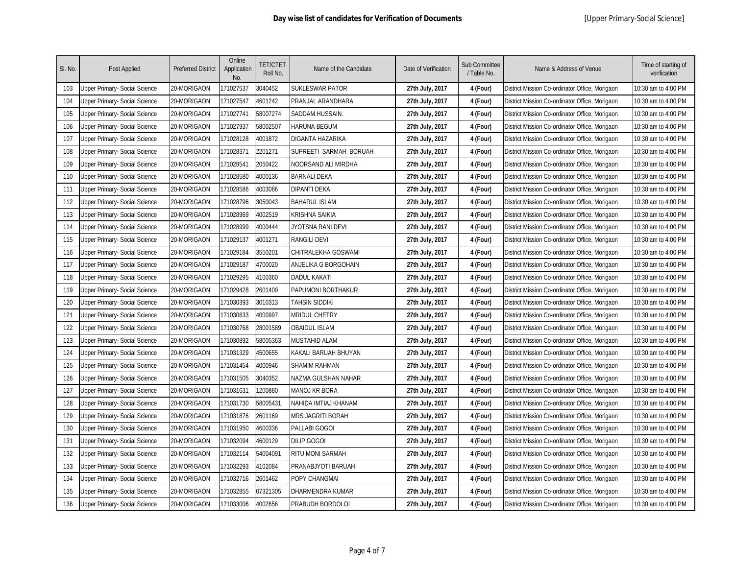| SI. No. | Post Applied                         | <b>Preferred District</b> | Online<br>Application<br>No. | <b>TET/CTET</b><br>Roll No. | Name of the Candidate    | Date of Verification | <b>Sub Committee</b><br>/ Table No. | Name & Address of Venue                        | Time of starting of<br>verification |
|---------|--------------------------------------|---------------------------|------------------------------|-----------------------------|--------------------------|----------------------|-------------------------------------|------------------------------------------------|-------------------------------------|
| 103     | Upper Primary- Social Science        | 20-MORIGAON               | 171027537                    | 3040452                     | <b>SUKLESWAR PATOR</b>   | 27th July, 2017      | 4 (Four)                            | District Mission Co-ordinator Office, Morigaon | 10:30 am to 4:00 PM                 |
| 104     | Jpper Primary- Social Science        | 20-MORIGAON               | 171027547                    | 4601242                     | PRANJAL ARANDHARA        | 27th July, 2017      | 4 (Four)                            | District Mission Co-ordinator Office, Morigaon | 10:30 am to 4:00 PM                 |
| 105     | Jpper Primary- Social Science        | 20-MORIGAON               | 171027741                    | 58007274                    | SADDAM.HUSSAIN.          | 27th July, 2017      | 4 (Four)                            | District Mission Co-ordinator Office, Morigaon | 10:30 am to 4:00 PM                 |
| 106     | <b>Jpper Primary- Social Science</b> | 20-MORIGAON               | 171027937                    | 68002507                    | <b>HARUNA BEGUM</b>      | 27th July, 2017      | 4 (Four)                            | District Mission Co-ordinator Office, Morigaon | 10:30 am to 4:00 PM                 |
| 107     | Jpper Primary- Social Science        | 20-MORIGAON               | 171028128                    | 1001872                     | DIGANTA HAZARIKA         | 27th July, 2017      | 4 (Four)                            | District Mission Co-ordinator Office, Morigaon | 10:30 am to 4:00 PM                 |
| 108     | Jpper Primary- Social Science        | 20-MORIGAON               | 171028371                    | 2201271                     | SUPREETI SARMAH BORUAH   | 27th July, 2017      | 4 (Four)                            | District Mission Co-ordinator Office, Morigaon | 10:30 am to 4:00 PM                 |
| 109     | Jpper Primary- Social Science        | 20-MORIGAON               | 171028541                    | 2050422                     | NOORSAND ALI MIRDHA      | 27th July, 2017      | 4 (Four)                            | District Mission Co-ordinator Office, Morigaon | 10:30 am to 4:00 PM                 |
| 110     | Jpper Primary- Social Science        | 20-MORIGAON               | 171028580                    | 1000136                     | BARNALI DEKA             | 27th July, 2017      | 4 (Four)                            | District Mission Co-ordinator Office, Morigaon | 10:30 am to 4:00 PM                 |
| 111     | Jpper Primary- Social Science        | 20-MORIGAON               | 171028586                    | 1003086                     | DIPANTI DEKA             | 27th July, 2017      | 4 (Four)                            | District Mission Co-ordinator Office, Morigaon | 10:30 am to 4:00 PM                 |
| 112     | Jpper Primary- Social Science        | 20-MORIGAON               | 171028796                    | 3050043                     | <b>BAHARUL ISLAM</b>     | 27th July, 2017      | 4 (Four)                            | District Mission Co-ordinator Office, Morigaon | 10:30 am to 4:00 PM                 |
| 113     | Jpper Primary- Social Science        | 20-MORIGAON               | 171028969                    | 1002519                     | <b>KRISHNA SAIKIA</b>    | 27th July, 2017      | 4 (Four)                            | District Mission Co-ordinator Office, Morigaon | 10:30 am to 4:00 PM                 |
| 114     | Jpper Primary- Social Science        | 20-MORIGAON               | 171028999                    | 4000444                     | JYOTSNA RANI DEVI        | 27th July, 2017      | 4 (Four)                            | District Mission Co-ordinator Office, Morigaon | 10:30 am to 4:00 PM                 |
| 115     | Jpper Primary- Social Science        | 20-MORIGAON               | 171029137                    | 1001271                     | RANGILI DEVI             | 27th July, 2017      | 4 (Four)                            | District Mission Co-ordinator Office, Morigaon | 10:30 am to 4:00 PM                 |
| 116     | <b>Jpper Primary- Social Science</b> | 20-MORIGAON               | 171029184                    | 3550201                     | CHITRALEKHA GOSWAMI      | 27th July, 2017      | 4 (Four)                            | District Mission Co-ordinator Office, Morigaon | 10:30 am to 4:00 PM                 |
| 117     | Jpper Primary- Social Science        | 20-MORIGAON               | 171029187                    | 4700020                     | ANJELIKA G BORGOHAIN     | 27th July, 2017      | 4 (Four)                            | District Mission Co-ordinator Office, Morigaon | 10:30 am to 4:00 PM                 |
| 118     | Jpper Primary- Social Science        | 20-MORIGAON               | 171029295                    | 1100360                     | DADUL KAKATI             | 27th July, 2017      | 4 (Four)                            | District Mission Co-ordinator Office, Morigaon | 10:30 am to 4:00 PM                 |
| 119     | Jpper Primary- Social Science        | 20-MORIGAON               | 171029428                    | 2601409                     | PAPUMONI BORTHAKUR       | 27th July, 2017      | 4 (Four)                            | District Mission Co-ordinator Office, Morigaon | 10:30 am to 4:00 PM                 |
| 120     | Jpper Primary- Social Science        | 20-MORIGAON               | 171030393                    | 3010313                     | <b>TAHSIN SIDDIKI</b>    | 27th July, 2017      | 4 (Four)                            | District Mission Co-ordinator Office, Morigaon | 10:30 am to 4:00 PM                 |
| 121     | Jpper Primary- Social Science        | 20-MORIGAON               | 171030633                    | 4000997                     | MRIDUL CHETRY            | 27th July, 2017      | 4 (Four)                            | District Mission Co-ordinator Office, Morigaon | 10:30 am to 4:00 PM                 |
| 122     | Jpper Primary- Social Science        | 20-MORIGAON               | 171030768                    | 28001589                    | <b>OBAIDUL ISLAM</b>     | 27th July, 2017      | 4 (Four)                            | District Mission Co-ordinator Office, Morigaon | 10:30 am to 4:00 PM                 |
| 123     | Jpper Primary- Social Science        | 20-MORIGAON               | 171030892                    | 58005363                    | <b>MUSTAHID ALAM</b>     | 27th July, 2017      | 4 (Four)                            | District Mission Co-ordinator Office, Morigaon | 10:30 am to 4:00 PM                 |
| 124     | Jpper Primary- Social Science        | 20-MORIGAON               | 171031329                    | 1500655                     | KAKALI BARUAH BHUYAN     | 27th July, 2017      | 4 (Four)                            | District Mission Co-ordinator Office, Morigaon | 10:30 am to 4:00 PM                 |
| 125     | <b>Jpper Primary- Social Science</b> | 20-MORIGAON               | 171031454                    | 1000946                     | SHAMIM RAHMAN            | 27th July, 2017      | 4 (Four)                            | District Mission Co-ordinator Office, Morigaon | 10:30 am to 4:00 PM                 |
| 126     | Jpper Primary- Social Science        | 20-MORIGAON               | 171031505                    | 3040352                     | NAZMA GULSHAN NAHAR      | 27th July, 2017      | 4 (Four)                            | District Mission Co-ordinator Office, Morigaon | 10:30 am to 4:00 PM                 |
| 127     | Jpper Primary- Social Science        | 20-MORIGAON               | 171031631                    | 1200880                     | MANOJ KR BORA            | 27th July, 2017      | 4 (Four)                            | District Mission Co-ordinator Office, Morigaon | 10:30 am to 4:00 PM                 |
| 128     | Jpper Primary- Social Science        | 20-MORIGAON               | 171031730                    | 58005431                    | NAHIDA IMTIAJ KHANAM     | 27th July, 2017      | 4 (Four)                            | District Mission Co-ordinator Office, Morigaon | 10:30 am to 4:00 PM                 |
| 129     | Jpper Primary- Social Science        | 20-MORIGAON               | 171031876                    | 2601169                     | <b>MRS JAGRITI BORAH</b> | 27th July, 2017      | 4 (Four)                            | District Mission Co-ordinator Office, Morigaon | 10:30 am to 4:00 PM                 |
| 130     | Jpper Primary- Social Science        | 20-MORIGAON               | 171031950                    | 1600336                     | PALLABI GOGOI            | 27th July, 2017      | 4 (Four)                            | District Mission Co-ordinator Office, Morigaon | 10:30 am to 4:00 PM                 |
| 131     | Jpper Primary- Social Science        | 20-MORIGAON               | 171032094                    | 1600129                     | <b>DILIP GOGOI</b>       | 27th July, 2017      | 4 (Four)                            | District Mission Co-ordinator Office, Morigaon | 10:30 am to 4:00 PM                 |
| 132     | Jpper Primary- Social Science        | 20-MORIGAON               | 171032114                    | 54004091                    | RITU MONI SARMAH         | 27th July, 2017      | 4 (Four)                            | District Mission Co-ordinator Office, Morigaon | 10:30 am to 4:00 PM                 |
| 133     | Jpper Primary- Social Science        | 20-MORIGAON               | 171032293                    | 1102084                     | PRANABJYOTI BARUAH       | 27th July, 2017      | 4 (Four)                            | District Mission Co-ordinator Office, Morigaon | 10:30 am to 4:00 PM                 |
| 134     | Jpper Primary- Social Science        | 20-MORIGAON               | 171032716                    | 2601462                     | POPY CHANGMAI            | 27th July, 2017      | 4 (Four)                            | District Mission Co-ordinator Office, Morigaon | 10:30 am to 4:00 PM                 |
| 135     | <b>Jpper Primary- Social Science</b> | 20-MORIGAON               | 171032855                    | 07321305                    | DHARMENDRA KUMAR         | 27th July, 2017      | 4 (Four)                            | District Mission Co-ordinator Office, Morigaon | 10:30 am to 4:00 PM                 |
| 136     | <b>Jpper Primary- Social Science</b> | 20-MORIGAON               | 171033006                    | 4002656                     | PRABUDH BORDOLOI         | 27th July, 2017      | 4 (Four)                            | District Mission Co-ordinator Office, Morigaon | 10:30 am to 4:00 PM                 |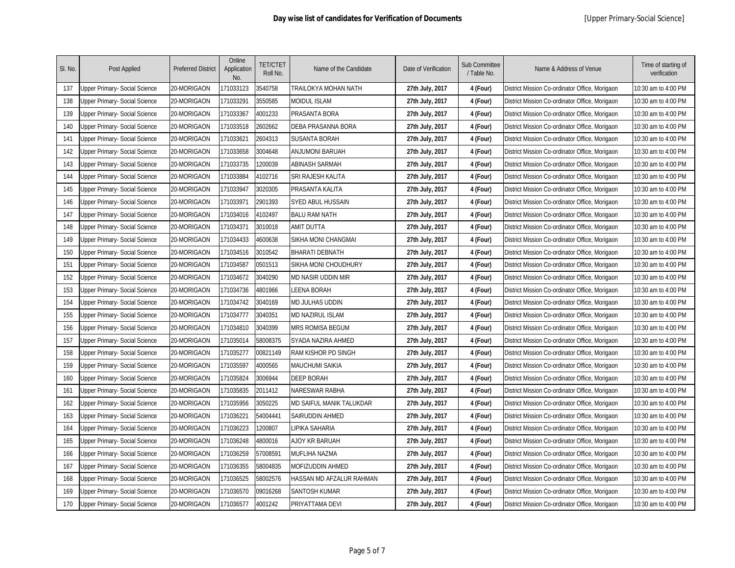| SI. No. | Post Applied                         | <b>Preferred District</b> | Online<br>Application<br>No. | <b>TET/CTET</b><br>Roll No. | Name of the Candidate    | Date of Verification | <b>Sub Committee</b><br>/ Table No. | Name & Address of Venue                        | Time of starting of<br>verification |
|---------|--------------------------------------|---------------------------|------------------------------|-----------------------------|--------------------------|----------------------|-------------------------------------|------------------------------------------------|-------------------------------------|
| 137     | Upper Primary- Social Science        | 20-MORIGAON               | 171033123                    | 3540758                     | TRAILOKYA MOHAN NATH     | 27th July, 2017      | 4 (Four)                            | District Mission Co-ordinator Office, Morigaon | 10:30 am to 4:00 PM                 |
| 138     | Jpper Primary- Social Science        | 20-MORIGAON               | 171033291                    | 3550585                     | <b>MOIDUL ISLAM</b>      | 27th July, 2017      | 4 (Four)                            | District Mission Co-ordinator Office, Morigaon | 10:30 am to 4:00 PM                 |
| 139     | Jpper Primary- Social Science        | 20-MORIGAON               | 171033367                    | 4001233                     | PRASANTA BORA            | 27th July, 2017      | 4 (Four)                            | District Mission Co-ordinator Office, Morigaon | 10:30 am to 4:00 PM                 |
| 140     | <b>Jpper Primary- Social Science</b> | 20-MORIGAON               | 171033518                    | 2602662                     | DEBA PRASANNA BORA       | 27th July, 2017      | 4 (Four)                            | District Mission Co-ordinator Office, Morigaon | 10:30 am to 4:00 PM                 |
| 141     | Jpper Primary- Social Science        | 20-MORIGAON               | 171033621                    | 2604313                     | SUSANTA BORAH            | 27th July, 2017      | 4 (Four)                            | District Mission Co-ordinator Office, Morigaon | 10:30 am to 4:00 PM                 |
| 142     | Jpper Primary- Social Science        | 20-MORIGAON               | 171033658                    | 3004648                     | <b>ANJUMONI BARUAH</b>   | 27th July, 2017      | 4 (Four)                            | District Mission Co-ordinator Office, Morigaon | 10:30 am to 4:00 PM                 |
| 143     | Jpper Primary- Social Science        | 20-MORIGAON               | 171033735                    | 1200039                     | <b>ABINASH SARMAH</b>    | 27th July, 2017      | 4 (Four)                            | District Mission Co-ordinator Office, Morigaon | 10:30 am to 4:00 PM                 |
| 144     | Jpper Primary- Social Science        | 20-MORIGAON               | 171033884                    | 1102716                     | SRI RAJESH KALITA        | 27th July, 2017      | 4 (Four)                            | District Mission Co-ordinator Office, Morigaon | 10:30 am to 4:00 PM                 |
| 145     | Jpper Primary- Social Science        | 20-MORIGAON               | 171033947                    | 3020305                     | PRASANTA KALITA          | 27th July, 2017      | 4 (Four)                            | District Mission Co-ordinator Office, Morigaon | 10:30 am to 4:00 PM                 |
| 146     | Jpper Primary- Social Science        | 20-MORIGAON               | 171033971                    | 2901393                     | SYED ABUL HUSSAIN        | 27th July, 2017      | 4 (Four)                            | District Mission Co-ordinator Office, Morigaon | 10:30 am to 4:00 PM                 |
| 147     | Jpper Primary- Social Science        | 20-MORIGAON               | 171034016                    | 4102497                     | <b>BALU RAM NATH</b>     | 27th July, 2017      | 4 (Four)                            | District Mission Co-ordinator Office, Morigaon | 10:30 am to 4:00 PM                 |
| 148     | Jpper Primary- Social Science        | 20-MORIGAON               | 171034371                    | 3010018                     | AMIT DUTTA               | 27th July, 2017      | 4 (Four)                            | District Mission Co-ordinator Office, Morigaon | 10:30 am to 4:00 PM                 |
| 149     | Jpper Primary- Social Science        | 20-MORIGAON               | 171034433                    | 1600638                     | SIKHA MONI CHANGMAI      | 27th July, 2017      | 4 (Four)                            | District Mission Co-ordinator Office, Morigaon | 10:30 am to 4:00 PM                 |
| 150     | <b>Jpper Primary- Social Science</b> | 20-MORIGAON               | 171034516                    | 3010542                     | <b>BHARATI DEBNATH</b>   | 27th July, 2017      | 4 (Four)                            | District Mission Co-ordinator Office, Morigaon | 10:30 am to 4:00 PM                 |
| 151     | Jpper Primary- Social Science        | 20-MORIGAON               | 171034587                    | 0501513                     | SIKHA MONI CHOUDHURY     | 27th July, 2017      | 4 (Four)                            | District Mission Co-ordinator Office, Morigaon | 10:30 am to 4:00 PM                 |
| 152     | Jpper Primary- Social Science        | 20-MORIGAON               | 171034672                    | 3040290                     | MD NASIR UDDIN MIR       | 27th July, 2017      | 4 (Four)                            | District Mission Co-ordinator Office, Morigaon | 10:30 am to 4:00 PM                 |
| 153     | Jpper Primary- Social Science        | 20-MORIGAON               | 171034736                    | 4801966                     | LEENA BORAH              | 27th July, 2017      | 4 (Four)                            | District Mission Co-ordinator Office, Morigaon | 10:30 am to 4:00 PM                 |
| 154     | Jpper Primary- Social Science        | 20-MORIGAON               | 171034742                    | 3040169                     | <b>MD JULHAS UDDIN</b>   | 27th July, 2017      | 4 (Four)                            | District Mission Co-ordinator Office, Morigaon | 10:30 am to 4:00 PM                 |
| 155     | Jpper Primary- Social Science        | 20-MORIGAON               | 171034777                    | 3040351                     | <b>MD NAZIRUL ISLAM</b>  | 27th July, 2017      | 4 (Four)                            | District Mission Co-ordinator Office, Morigaon | 10:30 am to 4:00 PM                 |
| 156     | Jpper Primary- Social Science        | 20-MORIGAON               | 171034810                    | 3040399                     | <b>MRS ROMISA BEGUM</b>  | 27th July, 2017      | 4 (Four)                            | District Mission Co-ordinator Office, Morigaon | 10:30 am to 4:00 PM                 |
| 157     | Jpper Primary- Social Science        | 20-MORIGAON               | 171035014                    | 58008375                    | SYADA NAZIRA AHMED       | 27th July, 2017      | 4 (Four)                            | District Mission Co-ordinator Office, Morigaon | 10:30 am to 4:00 PM                 |
| 158     | Jpper Primary- Social Science        | 20-MORIGAON               | 171035277                    | 00821149                    | RAM KISHOR PD SINGH      | 27th July, 2017      | 4 (Four)                            | District Mission Co-ordinator Office, Morigaon | 10:30 am to 4:00 PM                 |
| 159     | <b>Jpper Primary- Social Science</b> | 20-MORIGAON               | 171035597                    | 4000565                     | <b>MAUCHUMI SAIKIA</b>   | 27th July, 2017      | 4 (Four)                            | District Mission Co-ordinator Office, Morigaon | 10:30 am to 4:00 PM                 |
| 160     | Jpper Primary- Social Science        | 20-MORIGAON               | 171035824                    | 3006944                     | <b>DEEP BORAH</b>        | 27th July, 2017      | 4 (Four)                            | District Mission Co-ordinator Office, Morigaon | 10:30 am to 4:00 PM                 |
| 161     | Jpper Primary- Social Science        | 20-MORIGAON               | 171035835                    | 2011412                     | NARESWAR RABHA           | 27th July, 2017      | 4 (Four)                            | District Mission Co-ordinator Office, Morigaon | 10:30 am to 4:00 PM                 |
| 162     | Jpper Primary- Social Science        | 20-MORIGAON               | 171035956                    | 3050225                     | MD SAIFUL MANIK TALUKDAR | 27th July, 2017      | 4 (Four)                            | District Mission Co-ordinator Office, Morigaon | 10:30 am to 4:00 PM                 |
| 163     | Jpper Primary- Social Science        | 20-MORIGAON               | 171036221                    | 64004441                    | SAIRUDDIN AHMED          | 27th July, 2017      | 4 (Four)                            | District Mission Co-ordinator Office, Morigaon | 10:30 am to 4:00 PM                 |
| 164     | Jpper Primary- Social Science        | 20-MORIGAON               | 171036223                    | 1200807                     | LIPIKA SAHARIA           | 27th July, 2017      | 4 (Four)                            | District Mission Co-ordinator Office, Morigaon | 10:30 am to 4:00 PM                 |
| 165     | Jpper Primary- Social Science        | 20-MORIGAON               | 171036248                    | 1800016                     | <b>AJOY KR BARUAH</b>    | 27th July, 2017      | 4 (Four)                            | District Mission Co-ordinator Office, Morigaon | 10:30 am to 4:00 PM                 |
| 166     | Jpper Primary- Social Science        | 20-MORIGAON               | 171036259                    | 57008591                    | <b>MUFLIHA NAZMA</b>     | 27th July, 2017      | 4 (Four)                            | District Mission Co-ordinator Office, Morigaon | 10:30 am to 4:00 PM                 |
| 167     | Jpper Primary- Social Science        | 20-MORIGAON               | 171036355                    | 58004835                    | MOFIZUDDIN AHMED         | 27th July, 2017      | 4 (Four)                            | District Mission Co-ordinator Office, Morigaon | 10:30 am to 4:00 PM                 |
| 168     | Jpper Primary- Social Science        | 20-MORIGAON               | 171036525                    | 58002576                    | HASSAN MD AFZALUR RAHMAN | 27th July, 2017      | 4 (Four)                            | District Mission Co-ordinator Office, Morigaon | 10:30 am to 4:00 PM                 |
| 169     | <b>Jpper Primary- Social Science</b> | 20-MORIGAON               | 171036570                    | 09016268                    | SANTOSH KUMAR            | 27th July, 2017      | 4 (Four)                            | District Mission Co-ordinator Office, Morigaon | 10:30 am to 4:00 PM                 |
| 170     | <b>Jpper Primary- Social Science</b> | 20-MORIGAON               | 171036577                    | 4001242                     | PRIYATTAMA DEVI          | 27th July, 2017      | 4 (Four)                            | District Mission Co-ordinator Office, Morigaon | 10:30 am to 4:00 PM                 |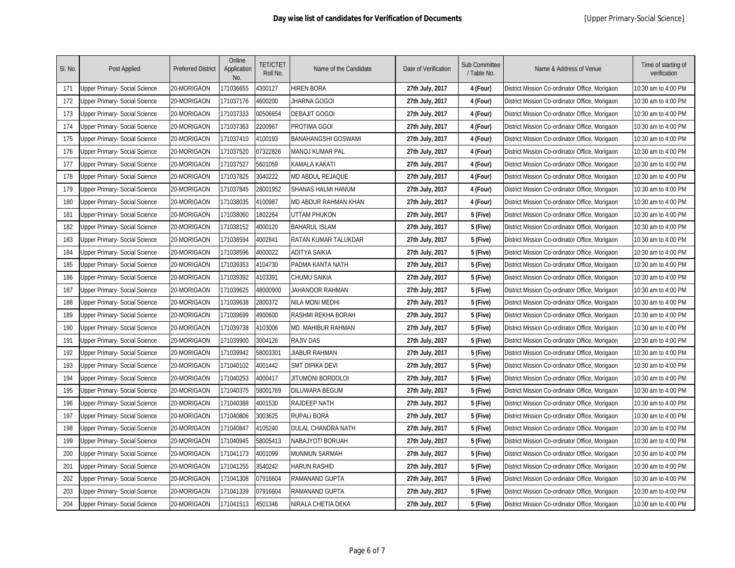| SI. No. | Post Applied                         | <b>Preferred District</b> | Online<br>Application<br>No. | <b>TET/CTET</b><br>Roll No. | Name of the Candidate      | Date of Verification | <b>Sub Committee</b><br>/ Table No. | Name & Address of Venue                        | Time of starting of<br>verification |
|---------|--------------------------------------|---------------------------|------------------------------|-----------------------------|----------------------------|----------------------|-------------------------------------|------------------------------------------------|-------------------------------------|
| 171     | Upper Primary- Social Science        | 20-MORIGAON               | 171036655                    | 1300127                     | <b>HIREN BORA</b>          | 27th July, 2017      | 4 (Four)                            | District Mission Co-ordinator Office, Morigaon | 10:30 am to 4:00 PM                 |
| 172     | Jpper Primary- Social Science        | 20-MORIGAON               | 171037176                    | 4600200                     | JHARNA GOGOI               | 27th July, 2017      | 4 (Four)                            | District Mission Co-ordinator Office, Morigaon | 10:30 am to 4:00 PM                 |
| 173     | <b>Jpper Primary- Social Science</b> | 20-MORIGAON               | 171037333                    | 00506654                    | <b>DEBAJIT GOGOI</b>       | 27th July, 2017      | 4 (Four)                            | District Mission Co-ordinator Office, Morigaon | 10:30 am to 4:00 PM                 |
| 174     | Jpper Primary- Social Science        | 20-MORIGAON               | 171037363                    | 2200967                     | PROTIMA GGOI               | 27th July, 2017      | 4 (Four)                            | District Mission Co-ordinator Office, Morigaon | 10:30 am to 4:00 PM                 |
| 175     | Jpper Primary- Social Science        | 20-MORIGAON               | 171037410                    | 1100193                     | <b>BANAHANGSHI GOSWAMI</b> | 27th July, 2017      | 4 (Four)                            | District Mission Co-ordinator Office, Morigaon | 10:30 am to 4:00 PM                 |
| 176     | Jpper Primary- Social Science        | 20-MORIGAON               | 171037520                    | 07322826                    | MANOJ KUMAR PAL            | 27th July, 2017      | 4 (Four)                            | District Mission Co-ordinator Office, Morigaon | 10:30 am to 4:00 PM                 |
| 177     | Jpper Primary- Social Science        | 20-MORIGAON               | 171037527                    | 601059                      | KAMALA KAKATI              | 27th July, 2017      | 4 (Four)                            | District Mission Co-ordinator Office, Morigaon | 10:30 am to 4:00 PM                 |
| 178     | Jpper Primary- Social Science        | 20-MORIGAON               | 171037825                    | 3040222                     | MD ABDUL REJAQUE           | 27th July, 2017      | 4 (Four)                            | District Mission Co-ordinator Office, Morigaon | 10:30 am to 4:00 PM                 |
| 179     | Jpper Primary- Social Science        | 20-MORIGAON               | 171037845                    | 28001952                    | SHANAS HALMI HANUM         | 27th July, 2017      | 4 (Four)                            | District Mission Co-ordinator Office, Morigaon | 10:30 am to 4:00 PM                 |
| 180     | Jpper Primary- Social Science        | 20-MORIGAON               | 171038035                    | 1100987                     | MD ABDUR RAHMAN KHAN       | 27th July, 2017      | 4 (Four)                            | District Mission Co-ordinator Office, Morigaon | 10:30 am to 4:00 PM                 |
| 181     | Jpper Primary- Social Science        | 20-MORIGAON               | 171038060                    | 1802264                     | UTTAM PHUKON               | 27th July, 2017      | 5 (Five)                            | District Mission Co-ordinator Office, Morigaon | 10:30 am to 4:00 PM                 |
| 182     | Jpper Primary- Social Science        | 20-MORIGAON               | 171038152                    | 1000120                     | <b>BAHARUL ISLAM</b>       | 27th July, 2017      | 5 (Five)                            | District Mission Co-ordinator Office, Morigaon | 10:30 am to 4:00 PM                 |
| 183     | Jpper Primary- Social Science        | 20-MORIGAON               | 171038594                    | 1002841                     | RATAN KUMAR TALUKDAR       | 27th July, 2017      | 5 (Five)                            | District Mission Co-ordinator Office, Morigaon | 10:30 am to 4:00 PM                 |
| 184     | Jpper Primary- Social Science        | 20-MORIGAON               | 171038596                    | 1000022                     | <b>ADITYA SAIKIA</b>       | 27th July, 2017      | 5 (Five)                            | District Mission Co-ordinator Office, Morigaon | 10:30 am to 4:00 PM                 |
| 185     | Jpper Primary- Social Science        | 20-MORIGAON               | 171039353                    | 4104730                     | PADMA KANTA NATH           | 27th July, 2017      | 5 (Five)                            | District Mission Co-ordinator Office, Morigaon | 10:30 am to 4:00 PM                 |
| 186     | Jpper Primary- Social Science        | 20-MORIGAON               | 171039392                    | 1103391                     | <b>CHUMU SAIKIA</b>        | 27th July, 2017      | 5 (Five)                            | District Mission Co-ordinator Office, Morigaon | 10:30 am to 4:00 PM                 |
| 187     | Jpper Primary- Social Science        | 20-MORIGAON               | 171039625                    | 48000900                    | JAHANOOR RAHMAN            | 27th July, 2017      | 5 (Five)                            | District Mission Co-ordinator Office, Morigaon | 10:30 am to 4:00 PM                 |
| 188     | Jpper Primary- Social Science        | 20-MORIGAON               | 171039638                    | 2800372                     | NILA MONI MEDHI            | 27th July, 2017      | 5 (Five)                            | District Mission Co-ordinator Office, Morigaon | 10:30 am to 4:00 PM                 |
| 189     | Jpper Primary- Social Science        | 20-MORIGAON               | 171039699                    | 4900600                     | RASHMI REKHA BORAH         | 27th July, 2017      | 5 (Five)                            | District Mission Co-ordinator Office, Morigaon | 10:30 am to 4:00 PM                 |
| 190     | Jpper Primary- Social Science        | 20-MORIGAON               | 171039738                    | 4103006                     | MD. MAHIBUR RAHMAN         | 27th July, 2017      | 5 (Five)                            | District Mission Co-ordinator Office, Morigaon | 10:30 am to 4:00 PM                 |
| 191     | Jpper Primary- Social Science        | 20-MORIGAON               | 171039900                    | 3004126                     | <b>RAJIV DAS</b>           | 27th July, 2017      | 5 (Five)                            | District Mission Co-ordinator Office, Morigaon | 10:30 am to 4:00 PM                 |
| 192     | Jpper Primary- Social Science        | 20-MORIGAON               | 171039942                    | 58003301                    | JIABUR RAHMAN              | 27th July, 2017      | 5 (Five)                            | District Mission Co-ordinator Office, Morigaon | 10:30 am to 4:00 PM                 |
| 193     | Jpper Primary- Social Science        | 20-MORIGAON               | 171040102                    | 4001442                     | SMT DIPIKA DEVI            | 27th July, 2017      | 5 (Five)                            | District Mission Co-ordinator Office, Morigaon | 10:30 am to 4:00 PM                 |
| 194     | <b>Jpper Primary- Social Science</b> | 20-MORIGAON               | 171040253                    | 4000417                     | jitumoni bordoloi          | 27th July, 2017      | 5 (Five)                            | District Mission Co-ordinator Office, Morigaon | 10:30 am to 4:00 PM                 |
| 195     | Jpper Primary- Social Science        | 20-MORIGAON               | 171040375                    | 58001769                    | DILUWARA BEGUM             | 27th July, 2017      | 5 (Five)                            | District Mission Co-ordinator Office, Morigaon | 10:30 am to 4:00 PM                 |
| 196     | Jpper Primary- Social Science        | 20-MORIGAON               | 171040388                    | 4001530                     | RAJDEEP NATH               | 27th July, 2017      | 5 (Five)                            | District Mission Co-ordinator Office, Morigaon | 10:30 am to 4:00 PM                 |
| 197     | Jpper Primary- Social Science        | 20-MORIGAON               | 171040806                    | 3003625                     | RUPALI BORA                | 27th July, 2017      | 5 (Five)                            | District Mission Co-ordinator Office, Morigaon | 10:30 am to 4:00 PM                 |
| 198     | Jpper Primary- Social Science        | 20-MORIGAON               | 171040847                    | 4105240                     | DULAL CHANDRA NATH         | 27th July, 2017      | 5 (Five)                            | District Mission Co-ordinator Office, Morigaon | 10:30 am to 4:00 PM                 |
| 199     | Jpper Primary- Social Science        | 20-MORIGAON               | 171040945                    | 58005413                    | NABAJYOTI BORUAH           | 27th July, 2017      | 5 (Five)                            | District Mission Co-ordinator Office, Morigaon | 10:30 am to 4:00 PM                 |
| 200     | Jpper Primary- Social Science        | 20-MORIGAON               | 171041173                    | 1001099                     | MUNMUN SARMAH              | 27th July, 2017      | 5 (Five)                            | District Mission Co-ordinator Office, Morigaon | 10:30 am to 4:00 PM                 |
| 201     | Jpper Primary- Social Science        | 20-MORIGAON               | 171041255                    | 3540242                     | HARUN RASHID               | 27th July, 2017      | 5 (Five)                            | District Mission Co-ordinator Office, Morigaon | 10:30 am to 4:00 PM                 |
| 202     | Jpper Primary- Social Science        | 20-MORIGAON               | 171041308                    | 07916604                    | RAMANAND GUPTA             | 27th July, 2017      | 5 (Five)                            | District Mission Co-ordinator Office, Morigaon | 10:30 am to 4:00 PM                 |
| 203     | <b>Jpper Primary- Social Science</b> | 20-MORIGAON               | 171041339                    | 07916604                    | RAMANAND GUPTA             | 27th July, 2017      | 5 (Five)                            | District Mission Co-ordinator Office, Morigaon | 10:30 am to 4:00 PM                 |
| 204     | Upper Primary- Social Science        | 20-MORIGAON               | 171041513                    | 4501346                     | NIRALA CHETIA DEKA         | 27th July, 2017      | 5 (Five)                            | District Mission Co-ordinator Office, Morigaon | 10:30 am to 4:00 PM                 |